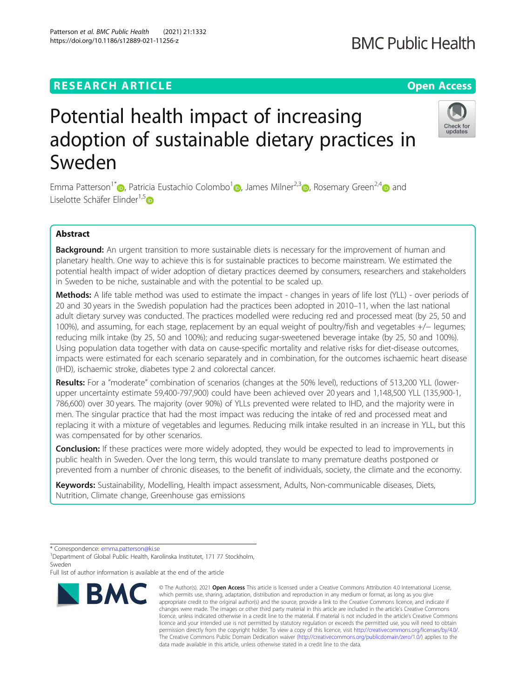# **RESEARCH ARTICLE Example 2014 12:30 The Contract of Contract ACCESS**

# Potential health impact of increasing adoption of sustainable dietary practices in Sweden

Emma Patterson<sup>1[\\*](http://orcid.org/0000-0003-1208-0936)</sup> <sub>(b</sub>, Patricia Eustachio Colombo<sup>[1](https://orcid.org/0000-0002-8505-116X)</sup> a, James Milner<sup>2,3</sup> a, Rosemary Green<sup>2,4</sup> and Liselotte Schäfer Elinder<sup>1,[5](https://orcid.org/0000-0001-7270-1162)</sup>D

# Abstract

Background: An urgent transition to more sustainable diets is necessary for the improvement of human and planetary health. One way to achieve this is for sustainable practices to become mainstream. We estimated the potential health impact of wider adoption of dietary practices deemed by consumers, researchers and stakeholders in Sweden to be niche, sustainable and with the potential to be scaled up.

Methods: A life table method was used to estimate the impact - changes in years of life lost (YLL) - over periods of 20 and 30 years in the Swedish population had the practices been adopted in 2010–11, when the last national adult dietary survey was conducted. The practices modelled were reducing red and processed meat (by 25, 50 and 100%), and assuming, for each stage, replacement by an equal weight of poultry/fish and vegetables +/− legumes; reducing milk intake (by 25, 50 and 100%); and reducing sugar-sweetened beverage intake (by 25, 50 and 100%). Using population data together with data on cause-specific mortality and relative risks for diet-disease outcomes, impacts were estimated for each scenario separately and in combination, for the outcomes ischaemic heart disease (IHD), ischaemic stroke, diabetes type 2 and colorectal cancer.

Results: For a "moderate" combination of scenarios (changes at the 50% level), reductions of 513,200 YLL (lowerupper uncertainty estimate 59,400-797,900) could have been achieved over 20 years and 1,148,500 YLL (135,900-1, 786,600) over 30 years. The majority (over 90%) of YLLs prevented were related to IHD, and the majority were in men. The singular practice that had the most impact was reducing the intake of red and processed meat and replacing it with a mixture of vegetables and legumes. Reducing milk intake resulted in an increase in YLL, but this was compensated for by other scenarios.

**Conclusion:** If these practices were more widely adopted, they would be expected to lead to improvements in public health in Sweden. Over the long term, this would translate to many premature deaths postponed or prevented from a number of chronic diseases, to the benefit of individuals, society, the climate and the economy.

Keywords: Sustainability, Modelling, Health impact assessment, Adults, Non-communicable diseases, Diets, Nutrition, Climate change, Greenhouse gas emissions



<sup>©</sup> The Author(s), 2021 **Open Access** This article is licensed under a Creative Commons Attribution 4.0 International License, which permits use, sharing, adaptation, distribution and reproduction in any medium or format, as long as you give appropriate credit to the original author(s) and the source, provide a link to the Creative Commons licence, and indicate if changes were made. The images or other third party material in this article are included in the article's Creative Commons licence, unless indicated otherwise in a credit line to the material. If material is not included in the article's Creative Commons licence and your intended use is not permitted by statutory regulation or exceeds the permitted use, you will need to obtain permission directly from the copyright holder. To view a copy of this licence, visit [http://creativecommons.org/licenses/by/4.0/.](http://creativecommons.org/licenses/by/4.0/) The Creative Commons Public Domain Dedication waiver [\(http://creativecommons.org/publicdomain/zero/1.0/](http://creativecommons.org/publicdomain/zero/1.0/)) applies to the data made available in this article, unless otherwise stated in a credit line to the data.

**BMC Public Health** 



<sup>\*</sup> Correspondence: [emma.patterson@ki.se](mailto:emma.patterson@ki.se) <sup>1</sup>

<sup>&</sup>lt;sup>1</sup>Department of Global Public Health, Karolinska Institutet, 171 77 Stockholm, Sweden

Full list of author information is available at the end of the article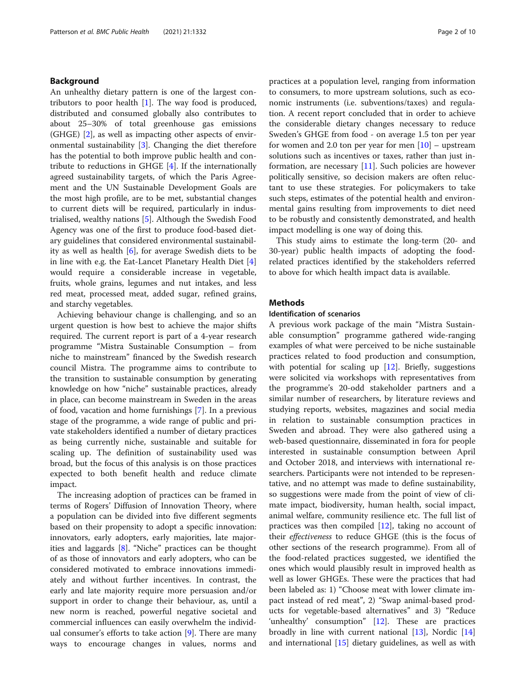# Background

An unhealthy dietary pattern is one of the largest contributors to poor health [[1](#page-8-0)]. The way food is produced, distributed and consumed globally also contributes to about 25–30% of total greenhouse gas emissions (GHGE) [\[2](#page-8-0)], as well as impacting other aspects of environmental sustainability [[3\]](#page-8-0). Changing the diet therefore has the potential to both improve public health and contribute to reductions in GHGE [[4\]](#page-8-0). If the internationally agreed sustainability targets, of which the Paris Agreement and the UN Sustainable Development Goals are the most high profile, are to be met, substantial changes to current diets will be required, particularly in industrialised, wealthy nations [[5\]](#page-8-0). Although the Swedish Food Agency was one of the first to produce food-based dietary guidelines that considered environmental sustainability as well as health [\[6](#page-8-0)], for average Swedish diets to be in line with e.g. the Eat-Lancet Planetary Health Diet [\[4](#page-8-0)] would require a considerable increase in vegetable, fruits, whole grains, legumes and nut intakes, and less red meat, processed meat, added sugar, refined grains, and starchy vegetables.

Achieving behaviour change is challenging, and so an urgent question is how best to achieve the major shifts required. The current report is part of a 4-year research programme "Mistra Sustainable Consumption – from niche to mainstream" financed by the Swedish research council Mistra. The programme aims to contribute to the transition to sustainable consumption by generating knowledge on how "niche" sustainable practices, already in place, can become mainstream in Sweden in the areas of food, vacation and home furnishings [[7\]](#page-8-0). In a previous stage of the programme, a wide range of public and private stakeholders identified a number of dietary practices as being currently niche, sustainable and suitable for scaling up. The definition of sustainability used was broad, but the focus of this analysis is on those practices expected to both benefit health and reduce climate impact.

The increasing adoption of practices can be framed in terms of Rogers' Diffusion of Innovation Theory, where a population can be divided into five different segments based on their propensity to adopt a specific innovation: innovators, early adopters, early majorities, late majorities and laggards [[8\]](#page-8-0). "Niche" practices can be thought of as those of innovators and early adopters, who can be considered motivated to embrace innovations immediately and without further incentives. In contrast, the early and late majority require more persuasion and/or support in order to change their behaviour, as, until a new norm is reached, powerful negative societal and commercial influences can easily overwhelm the individual consumer's efforts to take action [\[9](#page-8-0)]. There are many ways to encourage changes in values, norms and practices at a population level, ranging from information to consumers, to more upstream solutions, such as economic instruments (i.e. subventions/taxes) and regulation. A recent report concluded that in order to achieve the considerable dietary changes necessary to reduce Sweden's GHGE from food - on average 1.5 ton per year for women and 2.0 ton per year for men  $[10]$  $[10]$  – upstream solutions such as incentives or taxes, rather than just information, are necessary [\[11\]](#page-8-0). Such policies are however politically sensitive, so decision makers are often reluctant to use these strategies. For policymakers to take such steps, estimates of the potential health and environmental gains resulting from improvements to diet need to be robustly and consistently demonstrated, and health impact modelling is one way of doing this.

This study aims to estimate the long-term (20- and 30-year) public health impacts of adopting the foodrelated practices identified by the stakeholders referred to above for which health impact data is available.

### **Methods**

#### Identification of scenarios

A previous work package of the main "Mistra Sustainable consumption" programme gathered wide-ranging examples of what were perceived to be niche sustainable practices related to food production and consumption, with potential for scaling up  $[12]$  $[12]$ . Briefly, suggestions were solicited via workshops with representatives from the programme's 20-odd stakeholder partners and a similar number of researchers, by literature reviews and studying reports, websites, magazines and social media in relation to sustainable consumption practices in Sweden and abroad. They were also gathered using a web-based questionnaire, disseminated in fora for people interested in sustainable consumption between April and October 2018, and interviews with international researchers. Participants were not intended to be representative, and no attempt was made to define sustainability, so suggestions were made from the point of view of climate impact, biodiversity, human health, social impact, animal welfare, community resilience etc. The full list of practices was then compiled  $[12]$  $[12]$ , taking no account of their effectiveness to reduce GHGE (this is the focus of other sections of the research programme). From all of the food-related practices suggested, we identified the ones which would plausibly result in improved health as well as lower GHGEs. These were the practices that had been labeled as: 1) "Choose meat with lower climate impact instead of red meat", 2) "Swap animal-based products for vegetable-based alternatives" and 3) "Reduce 'unhealthy' consumption" [[12\]](#page-8-0). These are practices broadly in line with current national [[13\]](#page-8-0), Nordic [[14](#page-8-0)] and international  $[15]$  $[15]$  dietary guidelines, as well as with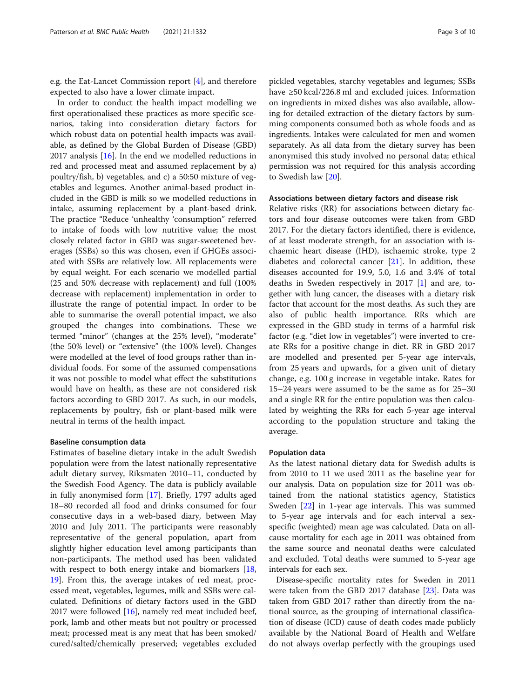e.g. the Eat-Lancet Commission report [\[4\]](#page-8-0), and therefore expected to also have a lower climate impact.

In order to conduct the health impact modelling we first operationalised these practices as more specific scenarios, taking into consideration dietary factors for which robust data on potential health impacts was available, as defined by the Global Burden of Disease (GBD) 2017 analysis [[16\]](#page-8-0). In the end we modelled reductions in red and processed meat and assumed replacement by a) poultry/fish, b) vegetables, and c) a 50:50 mixture of vegetables and legumes. Another animal-based product included in the GBD is milk so we modelled reductions in intake, assuming replacement by a plant-based drink. The practice "Reduce 'unhealthy 'consumption" referred to intake of foods with low nutritive value; the most closely related factor in GBD was sugar-sweetened beverages (SSBs) so this was chosen, even if GHGEs associated with SSBs are relatively low. All replacements were by equal weight. For each scenario we modelled partial (25 and 50% decrease with replacement) and full (100% decrease with replacement) implementation in order to illustrate the range of potential impact. In order to be able to summarise the overall potential impact, we also grouped the changes into combinations. These we termed "minor" (changes at the 25% level), "moderate" (the 50% level) or "extensive" (the 100% level). Changes were modelled at the level of food groups rather than individual foods. For some of the assumed compensations it was not possible to model what effect the substitutions would have on health, as these are not considered risk factors according to GBD 2017. As such, in our models, replacements by poultry, fish or plant-based milk were neutral in terms of the health impact.

#### Baseline consumption data

Estimates of baseline dietary intake in the adult Swedish population were from the latest nationally representative adult dietary survey, Riksmaten 2010–11, conducted by the Swedish Food Agency. The data is publicly available in fully anonymised form [\[17](#page-8-0)]. Briefly, 1797 adults aged 18–80 recorded all food and drinks consumed for four consecutive days in a web-based diary, between May 2010 and July 2011. The participants were reasonably representative of the general population, apart from slightly higher education level among participants than non-participants. The method used has been validated with respect to both energy intake and biomarkers  $\lfloor 18 \rfloor$  $\lfloor 18 \rfloor$  $\lfloor 18 \rfloor$ , [19\]](#page-8-0). From this, the average intakes of red meat, processed meat, vegetables, legumes, milk and SSBs were calculated. Definitions of dietary factors used in the GBD 2017 were followed [[16\]](#page-8-0), namely red meat included beef, pork, lamb and other meats but not poultry or processed meat; processed meat is any meat that has been smoked/ cured/salted/chemically preserved; vegetables excluded

pickled vegetables, starchy vegetables and legumes; SSBs have ≥50 kcal/226.8 ml and excluded juices. Information on ingredients in mixed dishes was also available, allowing for detailed extraction of the dietary factors by summing components consumed both as whole foods and as ingredients. Intakes were calculated for men and women separately. As all data from the dietary survey has been anonymised this study involved no personal data; ethical permission was not required for this analysis according to Swedish law [[20\]](#page-8-0).

#### Associations between dietary factors and disease risk

Relative risks (RR) for associations between dietary factors and four disease outcomes were taken from GBD 2017. For the dietary factors identified, there is evidence, of at least moderate strength, for an association with ischaemic heart disease (IHD), ischaemic stroke, type 2 diabetes and colorectal cancer [[21\]](#page-8-0). In addition, these diseases accounted for 19.9, 5.0, 1.6 and 3.4% of total deaths in Sweden respectively in 2017 [\[1](#page-8-0)] and are, together with lung cancer, the diseases with a dietary risk factor that account for the most deaths. As such they are also of public health importance. RRs which are expressed in the GBD study in terms of a harmful risk factor (e.g. "diet low in vegetables") were inverted to create RRs for a positive change in diet. RR in GBD 2017 are modelled and presented per 5-year age intervals, from 25 years and upwards, for a given unit of dietary change, e.g. 100 g increase in vegetable intake. Rates for 15–24 years were assumed to be the same as for 25–30 and a single RR for the entire population was then calculated by weighting the RRs for each 5-year age interval according to the population structure and taking the average.

#### Population data

As the latest national dietary data for Swedish adults is from 2010 to 11 we used 2011 as the baseline year for our analysis. Data on population size for 2011 was obtained from the national statistics agency, Statistics Sweden [[22](#page-8-0)] in 1-year age intervals. This was summed to 5-year age intervals and for each interval a sexspecific (weighted) mean age was calculated. Data on allcause mortality for each age in 2011 was obtained from the same source and neonatal deaths were calculated and excluded. Total deaths were summed to 5-year age intervals for each sex.

Disease-specific mortality rates for Sweden in 2011 were taken from the GBD 2017 database [\[23\]](#page-8-0). Data was taken from GBD 2017 rather than directly from the national source, as the grouping of international classification of disease (ICD) cause of death codes made publicly available by the National Board of Health and Welfare do not always overlap perfectly with the groupings used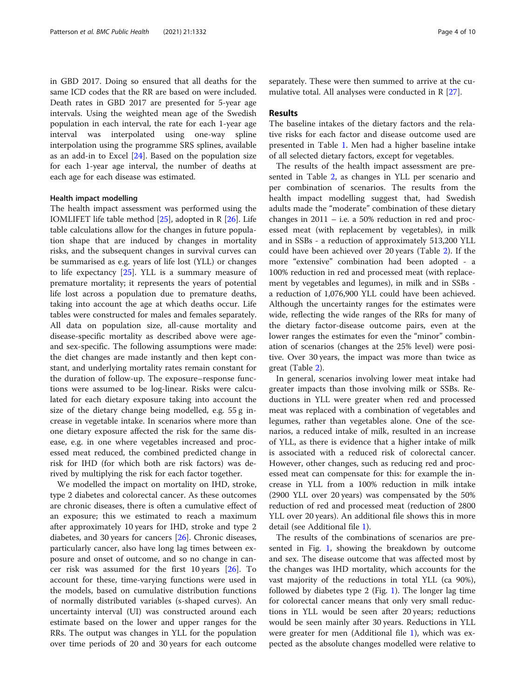in GBD 2017. Doing so ensured that all deaths for the same ICD codes that the RR are based on were included. Death rates in GBD 2017 are presented for 5-year age intervals. Using the weighted mean age of the Swedish population in each interval, the rate for each 1-year age interval was interpolated using one-way spline interpolation using the programme SRS splines, available as an add-in to Excel [[24\]](#page-8-0). Based on the population size for each 1-year age interval, the number of deaths at each age for each disease was estimated.

#### Health impact modelling

The health impact assessment was performed using the IOMLIFET life table method [[25\]](#page-8-0), adopted in R [\[26](#page-8-0)]. Life table calculations allow for the changes in future population shape that are induced by changes in mortality risks, and the subsequent changes in survival curves can be summarised as e.g. years of life lost (YLL) or changes to life expectancy [\[25](#page-8-0)]. YLL is a summary measure of premature mortality; it represents the years of potential life lost across a population due to premature deaths, taking into account the age at which deaths occur. Life tables were constructed for males and females separately. All data on population size, all-cause mortality and disease-specific mortality as described above were ageand sex-specific. The following assumptions were made: the diet changes are made instantly and then kept constant, and underlying mortality rates remain constant for the duration of follow-up. The exposure–response functions were assumed to be log-linear. Risks were calculated for each dietary exposure taking into account the size of the dietary change being modelled, e.g. 55 g increase in vegetable intake. In scenarios where more than one dietary exposure affected the risk for the same disease, e.g. in one where vegetables increased and processed meat reduced, the combined predicted change in risk for IHD (for which both are risk factors) was derived by multiplying the risk for each factor together.

We modelled the impact on mortality on IHD, stroke, type 2 diabetes and colorectal cancer. As these outcomes are chronic diseases, there is often a cumulative effect of an exposure; this we estimated to reach a maximum after approximately 10 years for IHD, stroke and type 2 diabetes, and 30 years for cancers [\[26](#page-8-0)]. Chronic diseases, particularly cancer, also have long lag times between exposure and onset of outcome, and so no change in cancer risk was assumed for the first 10 years [[26\]](#page-8-0). To account for these, time-varying functions were used in the models, based on cumulative distribution functions of normally distributed variables (s-shaped curves). An uncertainty interval (UI) was constructed around each estimate based on the lower and upper ranges for the RRs. The output was changes in YLL for the population over time periods of 20 and 30 years for each outcome separately. These were then summed to arrive at the cumulative total. All analyses were conducted in R [\[27](#page-8-0)].

#### Results

The baseline intakes of the dietary factors and the relative risks for each factor and disease outcome used are presented in Table [1.](#page-4-0) Men had a higher baseline intake of all selected dietary factors, except for vegetables.

The results of the health impact assessment are presented in Table [2,](#page-4-0) as changes in YLL per scenario and per combination of scenarios. The results from the health impact modelling suggest that, had Swedish adults made the "moderate" combination of these dietary changes in 2011 – i.e. a 50% reduction in red and processed meat (with replacement by vegetables), in milk and in SSBs - a reduction of approximately 513,200 YLL could have been achieved over 20 years (Table [2](#page-4-0)). If the more "extensive" combination had been adopted - a 100% reduction in red and processed meat (with replacement by vegetables and legumes), in milk and in SSBs a reduction of 1,076,900 YLL could have been achieved. Although the uncertainty ranges for the estimates were wide, reflecting the wide ranges of the RRs for many of the dietary factor-disease outcome pairs, even at the lower ranges the estimates for even the "minor" combination of scenarios (changes at the 25% level) were positive. Over 30 years, the impact was more than twice as great (Table [2](#page-4-0)).

In general, scenarios involving lower meat intake had greater impacts than those involving milk or SSBs. Reductions in YLL were greater when red and processed meat was replaced with a combination of vegetables and legumes, rather than vegetables alone. One of the scenarios, a reduced intake of milk, resulted in an increase of YLL, as there is evidence that a higher intake of milk is associated with a reduced risk of colorectal cancer. However, other changes, such as reducing red and processed meat can compensate for this: for example the increase in YLL from a 100% reduction in milk intake (2900 YLL over 20 years) was compensated by the 50% reduction of red and processed meat (reduction of 2800 YLL over 20 years). An additional file shows this in more detail (see Additional file [1\)](#page-7-0).

The results of the combinations of scenarios are presented in Fig. [1,](#page-5-0) showing the breakdown by outcome and sex. The disease outcome that was affected most by the changes was IHD mortality, which accounts for the vast majority of the reductions in total YLL (ca 90%), followed by diabetes type 2 (Fig. [1](#page-5-0)). The longer lag time for colorectal cancer means that only very small reductions in YLL would be seen after 20 years; reductions would be seen mainly after 30 years. Reductions in YLL were greater for men (Additional file [1](#page-7-0)), which was expected as the absolute changes modelled were relative to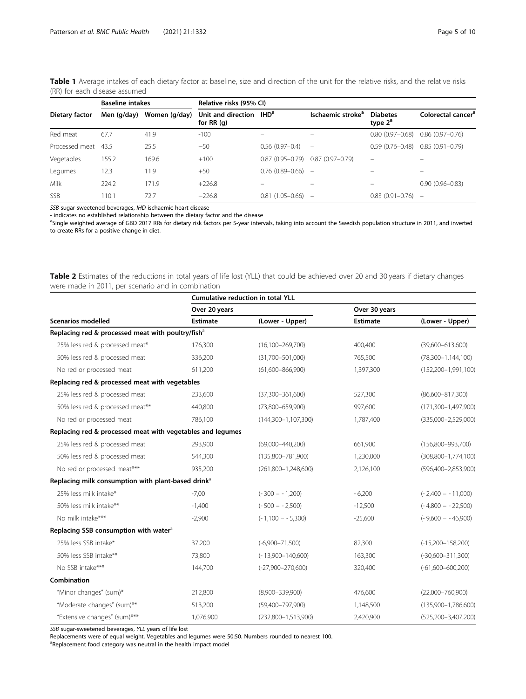|                | <b>Baseline intakes</b> |               | Relative risks (95% CI)            |                          |                               |                               |                                |
|----------------|-------------------------|---------------|------------------------------------|--------------------------|-------------------------------|-------------------------------|--------------------------------|
| Dietary factor | Men (g/day)             | Women (g/day) | Unit and direction<br>for RR $(q)$ | <b>IHD<sup>a</sup></b>   | Ischaemic stroke <sup>a</sup> | <b>Diabetes</b><br>type $2^a$ | Colorectal cancer <sup>a</sup> |
| Red meat       | 67.7                    | 41.9          | $-100$                             | $\overline{\phantom{0}}$ | $\equiv$                      | $0.80(0.97 - 0.68)$           | $0.86(0.97-0.76)$              |
| Processed meat | 43.5                    | 25.5          | $-50$                              | $0.56(0.97 - 0.4)$       | -                             | $0.59(0.76 - 0.48)$           | $0.85(0.91 - 0.79)$            |
| Vegetables     | 155.2                   | 169.6         | $+100$                             | $0.87(0.95 - 0.79)$      | $0.87(0.97-0.79)$             | $\overline{\phantom{0}}$      |                                |
| Legumes        | 12.3                    | 11.9          | $+50$                              | $0.76(0.89 - 0.66)$      | -                             | -                             | -                              |
| Milk           | 224.2                   | 171.9         | $+226.8$                           |                          |                               |                               | $0.90(0.96 - 0.83)$            |
| <b>SSB</b>     | 110.1                   | 72.7          | $-226.8$                           | $0.81(1.05 - 0.66)$      | $\overline{\phantom{a}}$      | $0.83(0.91 - 0.76)$           | $\overline{\phantom{0}}$       |

<span id="page-4-0"></span>Table 1 Average intakes of each dietary factor at baseline, size and direction of the unit for the relative risks, and the relative risks (RR) for each disease assumed

SSB sugar-sweetened beverages, IHD ischaemic heart disease

- indicates no established relationship between the dietary factor and the disease

<sup>a</sup>Single weighted average of GBD 2017 RRs for dietary risk factors per 5-year intervals, taking into account the Swedish population structure in 2011, and inverted to create RRs for a positive change in diet.

Table 2 Estimates of the reductions in total years of life lost (YLL) that could be achieved over 20 and 30 years if dietary changes were made in 2011, per scenario and in combination

|                                                                | <b>Cumulative reduction in total YLL</b> |                         |                 |                            |  |  |  |  |
|----------------------------------------------------------------|------------------------------------------|-------------------------|-----------------|----------------------------|--|--|--|--|
|                                                                | Over 20 years                            |                         | Over 30 years   |                            |  |  |  |  |
| <b>Scenarios modelled</b>                                      | <b>Estimate</b>                          | (Lower - Upper)         | <b>Estimate</b> | (Lower - Upper)            |  |  |  |  |
| Replacing red & processed meat with poultry/fish <sup>a</sup>  |                                          |                         |                 |                            |  |  |  |  |
| 25% less red & processed meat*                                 | 176,300                                  | $(16,100 - 269,700)$    | 400,400         | $(39,600 - 613,600)$       |  |  |  |  |
| 50% less red & processed meat                                  | 336,200                                  | $(31,700 - 501,000)$    | 765,500         | $(78,300-1,144,100)$       |  |  |  |  |
| No red or processed meat                                       | 611,200                                  | $(61,600 - 866,900)$    | 1,397,300       | $(152, 200 - 1, 991, 100)$ |  |  |  |  |
| Replacing red & processed meat with vegetables                 |                                          |                         |                 |                            |  |  |  |  |
| 25% less red & processed meat                                  | 233,600                                  | $(37,300 - 361,600)$    | 527,300         | $(86,600 - 817,300)$       |  |  |  |  |
| 50% less red & processed meat**                                | 440.800                                  | $(73,800 - 659,900)$    | 997,600         | $(171,300 - 1,497,900)$    |  |  |  |  |
| No red or processed meat                                       | 786,100                                  | $(144,300-1,107,300)$   | 1,787,400       | $(335,000 - 2,529,000)$    |  |  |  |  |
| Replacing red & processed meat with vegetables and legumes     |                                          |                         |                 |                            |  |  |  |  |
| 25% less red & processed meat                                  | 293,900                                  | $(69,000 - 440,200)$    | 661,900         | $(156,800 - 993,700)$      |  |  |  |  |
| 50% less red & processed meat                                  | 544,300                                  | $(135,800 - 781,900)$   | 1,230,000       | $(308,800 - 1,774,100)$    |  |  |  |  |
| No red or processed meat***                                    | 935,200                                  | $(261,800 - 1,248,600)$ | 2,126,100       | $(596,400 - 2,853,900)$    |  |  |  |  |
| Replacing milk consumption with plant-based drink <sup>a</sup> |                                          |                         |                 |                            |  |  |  |  |
| 25% less milk intake*                                          | $-7,00$                                  | $(-300 - 1,200)$        | $-6,200$        | $(-2,400 - 11,000)$        |  |  |  |  |
| 50% less milk intake**                                         | $-1,400$                                 | $(-500 - 2,500)$        | $-12,500$       | $(-4,800 - 22,500)$        |  |  |  |  |
| No milk intake***                                              | $-2,900$                                 | $(-1,100 - 5,300)$      | $-25,600$       | $(-9,600 - 46,900)$        |  |  |  |  |
| Replacing SSB consumption with water <sup>a</sup>              |                                          |                         |                 |                            |  |  |  |  |
| 25% less SSB intake*                                           | 37,200                                   | $(-6,900 - 71,500)$     | 82,300          | $(-15,200-158,200)$        |  |  |  |  |
| 50% less SSB intake**                                          | 73,800                                   | $(-13,900 - 140,600)$   | 163,300         | $(-30,600 - 311,300)$      |  |  |  |  |
| No SSB intake***                                               | 144,700                                  | $(-27,900 - 270,600)$   | 320,400         | $(-61,600 - 600,200)$      |  |  |  |  |
| Combination                                                    |                                          |                         |                 |                            |  |  |  |  |
| "Minor changes" (sum)*                                         | 212,800                                  | $(8,900 - 339,900)$     | 476,600         | $(22,000 - 760,900)$       |  |  |  |  |
| "Moderate changes" (sum)**                                     | 513,200                                  | $(59,400 - 797,900)$    | 1,148,500       | $(135,900 - 1,786,600)$    |  |  |  |  |
| "Extensive changes" (sum)***                                   | 1,076,900                                | $(232,800-1,513,900)$   | 2,420,900       | $(525, 200 - 3, 407, 200)$ |  |  |  |  |

SSB sugar-sweetened beverages, YLL years of life lost

Replacements were of equal weight. Vegetables and legumes were 50:50. Numbers rounded to nearest 100.

<sup>a</sup>Replacement food category was neutral in the health impact model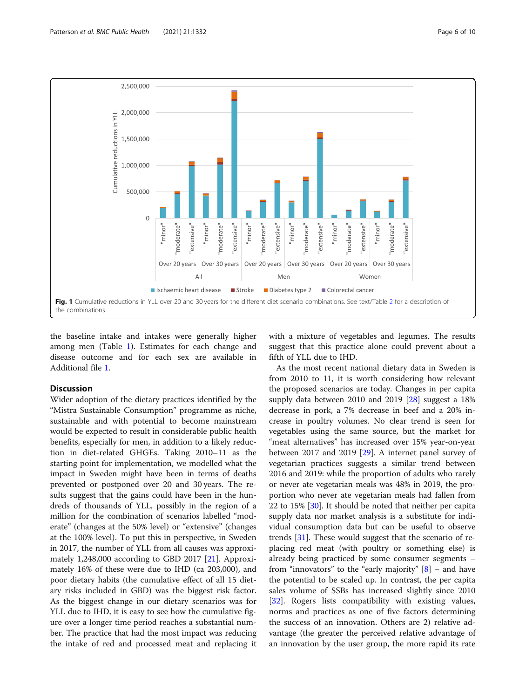<span id="page-5-0"></span>

the baseline intake and intakes were generally higher among men (Table [1](#page-4-0)). Estimates for each change and disease outcome and for each sex are available in Additional file [1](#page-7-0).

#### **Discussion**

Wider adoption of the dietary practices identified by the "Mistra Sustainable Consumption" programme as niche, sustainable and with potential to become mainstream would be expected to result in considerable public health benefits, especially for men, in addition to a likely reduction in diet-related GHGEs. Taking 2010–11 as the starting point for implementation, we modelled what the impact in Sweden might have been in terms of deaths prevented or postponed over 20 and 30 years. The results suggest that the gains could have been in the hundreds of thousands of YLL, possibly in the region of a million for the combination of scenarios labelled "moderate" (changes at the 50% level) or "extensive" (changes at the 100% level). To put this in perspective, in Sweden in 2017, the number of YLL from all causes was approximately 1,248,000 according to GBD 2017 [[21\]](#page-8-0). Approximately 16% of these were due to IHD (ca 203,000), and poor dietary habits (the cumulative effect of all 15 dietary risks included in GBD) was the biggest risk factor. As the biggest change in our dietary scenarios was for YLL due to IHD, it is easy to see how the cumulative figure over a longer time period reaches a substantial number. The practice that had the most impact was reducing the intake of red and processed meat and replacing it with a mixture of vegetables and legumes. The results suggest that this practice alone could prevent about a fifth of YLL due to IHD.

As the most recent national dietary data in Sweden is from 2010 to 11, it is worth considering how relevant the proposed scenarios are today. Changes in per capita supply data between 2010 and 2019 [[28\]](#page-8-0) suggest a 18% decrease in pork, a 7% decrease in beef and a 20% increase in poultry volumes. No clear trend is seen for vegetables using the same source, but the market for "meat alternatives" has increased over 15% year-on-year between 2017 and 2019 [\[29](#page-8-0)]. A internet panel survey of vegetarian practices suggests a similar trend between 2016 and 2019: while the proportion of adults who rarely or never ate vegetarian meals was 48% in 2019, the proportion who never ate vegetarian meals had fallen from 22 to 15% [\[30](#page-9-0)]. It should be noted that neither per capita supply data nor market analysis is a substitute for individual consumption data but can be useful to observe trends [[31\]](#page-9-0). These would suggest that the scenario of replacing red meat (with poultry or something else) is already being practiced by some consumer segments – from "innovators" to the "early majority"  $[8]$  $[8]$  $[8]$  – and have the potential to be scaled up. In contrast, the per capita sales volume of SSBs has increased slightly since 2010 [[32\]](#page-9-0). Rogers lists compatibility with existing values, norms and practices as one of five factors determining the success of an innovation. Others are 2) relative advantage (the greater the perceived relative advantage of an innovation by the user group, the more rapid its rate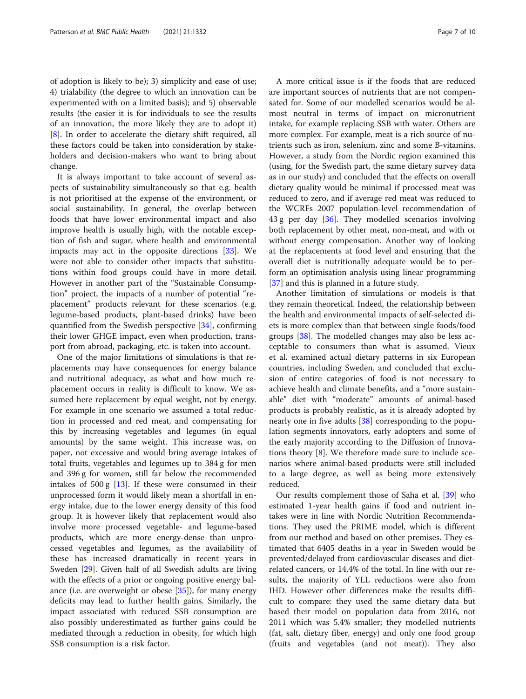of adoption is likely to be); 3) simplicity and ease of use; 4) trialability (the degree to which an innovation can be experimented with on a limited basis); and 5) observable results (the easier it is for individuals to see the results of an innovation, the more likely they are to adopt it) [[8\]](#page-8-0). In order to accelerate the dietary shift required, all these factors could be taken into consideration by stakeholders and decision-makers who want to bring about change.

It is always important to take account of several aspects of sustainability simultaneously so that e.g. health is not prioritised at the expense of the environment, or social sustainability. In general, the overlap between foods that have lower environmental impact and also improve health is usually high, with the notable exception of fish and sugar, where health and environmental impacts may act in the opposite directions [\[33](#page-9-0)]. We were not able to consider other impacts that substitutions within food groups could have in more detail. However in another part of the "Sustainable Consumption" project, the impacts of a number of potential "replacement" products relevant for these scenarios (e.g. legume-based products, plant-based drinks) have been quantified from the Swedish perspective [[34](#page-9-0)], confirming their lower GHGE impact, even when production, transport from abroad, packaging, etc. is taken into account.

One of the major limitations of simulations is that replacements may have consequences for energy balance and nutritional adequacy, as what and how much replacement occurs in reality is difficult to know. We assumed here replacement by equal weight, not by energy. For example in one scenario we assumed a total reduction in processed and red meat, and compensating for this by increasing vegetables and legumes (in equal amounts) by the same weight. This increase was, on paper, not excessive and would bring average intakes of total fruits, vegetables and legumes up to 384 g for men and 396 g for women, still far below the recommended intakes of  $500 g$  [[13\]](#page-8-0). If these were consumed in their unprocessed form it would likely mean a shortfall in energy intake, due to the lower energy density of this food group. It is however likely that replacement would also involve more processed vegetable- and legume-based products, which are more energy-dense than unprocessed vegetables and legumes, as the availability of these has increased dramatically in recent years in Sweden [\[29\]](#page-8-0). Given half of all Swedish adults are living with the effects of a prior or ongoing positive energy balance (i.e. are overweight or obese  $[35]$  $[35]$ ), for many energy deficits may lead to further health gains. Similarly, the impact associated with reduced SSB consumption are also possibly underestimated as further gains could be mediated through a reduction in obesity, for which high SSB consumption is a risk factor.

A more critical issue is if the foods that are reduced are important sources of nutrients that are not compensated for. Some of our modelled scenarios would be almost neutral in terms of impact on micronutrient intake, for example replacing SSB with water. Others are more complex. For example, meat is a rich source of nutrients such as iron, selenium, zinc and some B-vitamins. However, a study from the Nordic region examined this (using, for the Swedish part, the same dietary survey data as in our study) and concluded that the effects on overall dietary quality would be minimal if processed meat was reduced to zero, and if average red meat was reduced to the WCRFs 2007 population-level recommendation of 43 g per day [\[36](#page-9-0)]. They modelled scenarios involving both replacement by other meat, non-meat, and with or without energy compensation. Another way of looking at the replacements at food level and ensuring that the overall diet is nutritionally adequate would be to perform an optimisation analysis using linear programming [[37\]](#page-9-0) and this is planned in a future study.

Another limitation of simulations or models is that they remain theoretical. Indeed, the relationship between the health and environmental impacts of self-selected diets is more complex than that between single foods/food groups [\[38](#page-9-0)]. The modelled changes may also be less acceptable to consumers than what is assumed. Vieux et al. examined actual dietary patterns in six European countries, including Sweden, and concluded that exclusion of entire categories of food is not necessary to achieve health and climate benefits, and a "more sustainable" diet with "moderate" amounts of animal-based products is probably realistic, as it is already adopted by nearly one in five adults [\[38](#page-9-0)] corresponding to the population segments innovators, early adopters and some of the early majority according to the Diffusion of Innovations theory [[8](#page-8-0)]. We therefore made sure to include scenarios where animal-based products were still included to a large degree, as well as being more extensively reduced.

Our results complement those of Saha et al. [[39](#page-9-0)] who estimated 1-year health gains if food and nutrient intakes were in line with Nordic Nutrition Recommendations. They used the PRIME model, which is different from our method and based on other premises. They estimated that 6405 deaths in a year in Sweden would be prevented/delayed from cardiovascular diseases and dietrelated cancers, or 14.4% of the total. In line with our results, the majority of YLL reductions were also from IHD. However other differences make the results difficult to compare: they used the same dietary data but based their model on population data from 2016, not 2011 which was 5.4% smaller; they modelled nutrients (fat, salt, dietary fiber, energy) and only one food group (fruits and vegetables (and not meat)). They also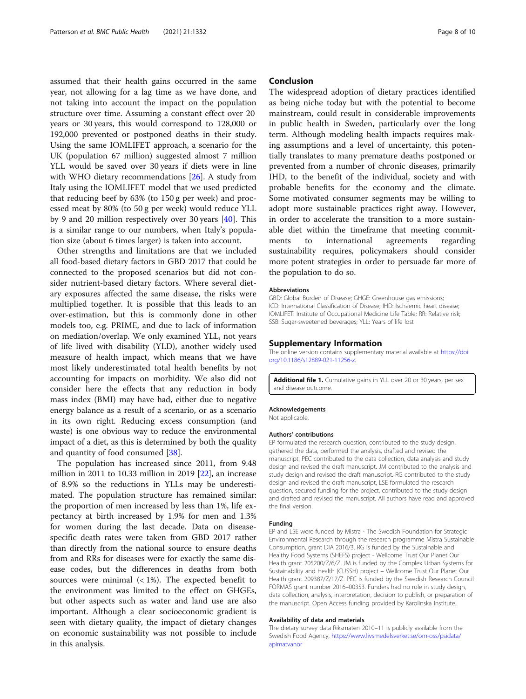<span id="page-7-0"></span>assumed that their health gains occurred in the same year, not allowing for a lag time as we have done, and not taking into account the impact on the population structure over time. Assuming a constant effect over 20 years or 30 years, this would correspond to 128,000 or 192,000 prevented or postponed deaths in their study. Using the same IOMLIFET approach, a scenario for the UK (population 67 million) suggested almost 7 million YLL would be saved over 30 years if diets were in line with WHO dietary recommendations [\[26\]](#page-8-0). A study from Italy using the IOMLIFET model that we used predicted that reducing beef by 63% (to 150 g per week) and processed meat by 80% (to 50 g per week) would reduce YLL by 9 and 20 million respectively over 30 years [[40\]](#page-9-0). This is a similar range to our numbers, when Italy's population size (about 6 times larger) is taken into account.

Other strengths and limitations are that we included all food-based dietary factors in GBD 2017 that could be connected to the proposed scenarios but did not consider nutrient-based dietary factors. Where several dietary exposures affected the same disease, the risks were multiplied together. It is possible that this leads to an over-estimation, but this is commonly done in other models too, e.g. PRIME, and due to lack of information on mediation/overlap. We only examined YLL, not years of life lived with disability (YLD), another widely used measure of health impact, which means that we have most likely underestimated total health benefits by not accounting for impacts on morbidity. We also did not consider here the effects that any reduction in body mass index (BMI) may have had, either due to negative energy balance as a result of a scenario, or as a scenario in its own right. Reducing excess consumption (and waste) is one obvious way to reduce the environmental impact of a diet, as this is determined by both the quality and quantity of food consumed [\[38](#page-9-0)].

The population has increased since 2011, from 9.48 million in 2011 to 10.33 million in 2019 [[22](#page-8-0)], an increase of 8.9% so the reductions in YLLs may be underestimated. The population structure has remained similar: the proportion of men increased by less than 1%, life expectancy at birth increased by 1.9% for men and 1.3% for women during the last decade. Data on diseasespecific death rates were taken from GBD 2017 rather than directly from the national source to ensure deaths from and RRs for diseases were for exactly the same disease codes, but the differences in deaths from both sources were minimal  $\left($  < 1%). The expected benefit to the environment was limited to the effect on GHGEs, but other aspects such as water and land use are also important. Although a clear socioeconomic gradient is seen with dietary quality, the impact of dietary changes on economic sustainability was not possible to include in this analysis.

#### Conclusion

The widespread adoption of dietary practices identified as being niche today but with the potential to become mainstream, could result in considerable improvements in public health in Sweden, particularly over the long term. Although modeling health impacts requires making assumptions and a level of uncertainty, this potentially translates to many premature deaths postponed or prevented from a number of chronic diseases, primarily IHD, to the benefit of the individual, society and with probable benefits for the economy and the climate. Some motivated consumer segments may be willing to adopt more sustainable practices right away. However, in order to accelerate the transition to a more sustainable diet within the timeframe that meeting commitments to international agreements regarding sustainability requires, policymakers should consider more potent strategies in order to persuade far more of the population to do so.

#### Abbreviations

GBD: Global Burden of Disease; GHGE: Greenhouse gas emissions; ICD: International Classification of Disease; IHD: Ischaemic heart disease; IOMLIFET: Institute of Occupational Medicine Life Table; RR: Relative risk; SSB: Sugar-sweetened beverages; YLL: Years of life lost

#### Supplementary Information

The online version contains supplementary material available at [https://doi.](https://doi.org/10.1186/s12889-021-11256-z) [org/10.1186/s12889-021-11256-z](https://doi.org/10.1186/s12889-021-11256-z).

Additional file 1. Cumulative gains in YLL over 20 or 30 years, per sex and disease outcome.

#### Acknowledgements

Not applicable.

#### Authors' contributions

EP formulated the research question, contributed to the study design, gathered the data, performed the analysis, drafted and revised the manuscript. PEC contributed to the data collection, data analysis and study design and revised the draft manuscript. JM contributed to the analysis and study design and revised the draft manuscript. RG contributed to the study design and revised the draft manuscript, LSE formulated the research question, secured funding for the project, contributed to the study design and drafted and revised the manuscript. All authors have read and approved the final version.

#### Funding

EP and LSE were funded by Mistra - The Swedish Foundation for Strategic Environmental Research through the research programme Mistra Sustainable Consumption, grant DIA 2016/3. RG is funded by the Sustainable and Healthy Food Systems (SHEFS) project - Wellcome Trust Our Planet Our Health grant 205200/Z/6/Z. JM is funded by the Complex Urban Systems for Sustainability and Health (CUSSH) project – Wellcome Trust Our Planet Our Health grant 209387/Z/17/Z. PEC is funded by the Swedish Research Council FORMAS grant number 2016–00353. Funders had no role in study design, data collection, analysis, interpretation, decision to publish, or preparation of the manuscript. Open Access funding provided by Karolinska Institute.

#### Availability of data and materials

The dietary survey data Riksmaten 2010–11 is publicly available from the Swedish Food Agency, [https://www.livsmedelsverket.se/om-oss/psidata/](https://www.livsmedelsverket.se/om-oss/psidata/apimatvanor) [apimatvanor](https://www.livsmedelsverket.se/om-oss/psidata/apimatvanor)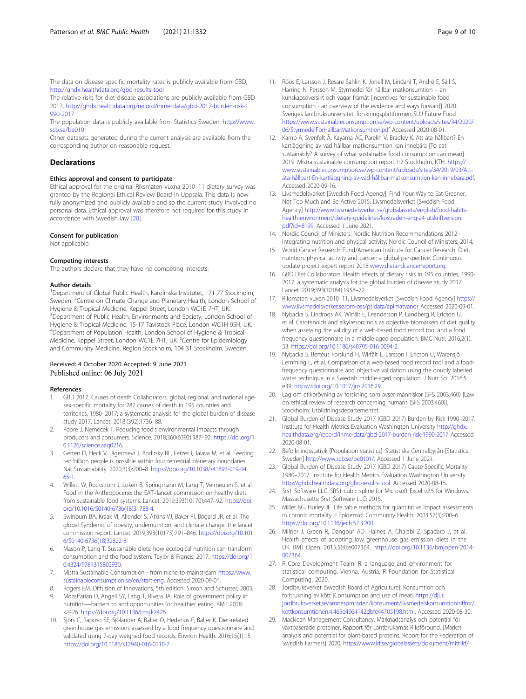<span id="page-8-0"></span>The data on disease specific mortality rates is publicly available from GBD, <http://ghdx.healthdata.org/gbd-results-tool>

The relative risks for diet-disease associations are publicly available from GBD 2017, [http://ghdx.healthdata.org/record/ihme-data/gbd-2017-burden-risk-1](http://ghdx.healthdata.org/record/ihme-data/gbd-2017-burden-risk-1990-2017) [990-2017](http://ghdx.healthdata.org/record/ihme-data/gbd-2017-burden-risk-1990-2017)

The population data is publicly available from Statistics Sweden, [http://www.](http://www.scb.se/be0101) [scb.se/be0101](http://www.scb.se/be0101)

Other datasets generated during the current analysis are available from the corresponding author on reasonable request.

#### **Declarations**

#### Ethics approval and consent to participate

Ethical approval for the original Riksmaten vuxna 2010–11 dietary survey was granted by the Regional Ethical Review Board in Uppsala. This data is now fully anonymized and publicly available and so the current study involved no personal data. Ethical approval was therefore not required for this study in accordance with Swedish law [20].

#### Consent for publication

Not applicable.

#### Competing interests

The authors declare that they have no competing interests.

#### Author details

<sup>1</sup>Department of Global Public Health, Karolinska Institutet, 171 77 Stockholm, Sweden. <sup>2</sup>Centre on Climate Change and Planetary Health, London School of Hygiene & Tropical Medicine, Keppel Street, London WC1E 7HT, UK. <sup>3</sup>Department of Public Health, Environments and Society, London School of Hygiene & Tropical Medicine, 15-17 Tavistock Place, London WC1H 9SH, UK. 4 Department of Population Health, London School of Hygiene & Tropical Medicine, Keppel Street, London WC1E 7HT, UK. <sup>5</sup>Centre for Epidemiology and Community Medicine, Region Stockholm, 104 31 Stockholm, Sweden.

#### Received: 4 October 2020 Accepted: 9 June 2021 Published online: 06 July 2021

#### References

- 1. GBD 2017. Causes of death Collaborators: global, regional, and national agesex-specific mortality for 282 causes of death in 195 countries and territories, 1980–2017: a systematic analysis for the global burden of disease study 2017. Lancet. 2018;(392):1736–88.
- 2. Poore J, Nemecek T. Reducing food's environmental impacts through producers and consumers. Science. 2018;360(6392):987–92. [https://doi.org/1](https://doi.org/10.1126/science.aaq0216) [0.1126/science.aaq0216](https://doi.org/10.1126/science.aaq0216).
- Gerten D, Heck V, Jägermeyr J, Bodirsky BL, Fetzer I, Jalava M, et al. Feeding ten billion people is possible within four terrestrial planetary boundaries. Nat Sustainability. 2020;3(3):200–8. [https://doi.org/10.1038/s41893-019-04](https://doi.org/10.1038/s41893-019-0465-1) [65-1](https://doi.org/10.1038/s41893-019-0465-1).
- 4. Willett W, Rockström J, Loken B, Springmann M, Lang T, Vermeulen S, et al. Food in the Anthropocene: the EAT–lancet commission on healthy diets from sustainable food systems. Lancet. 2019;393(10170):447–92. [https://doi.](https://doi.org/10.1016/S0140-6736(18)31788-4) [org/10.1016/S0140-6736\(18\)31788-4.](https://doi.org/10.1016/S0140-6736(18)31788-4)
- 5. Swinburn BA, Kraak VI, Allender S, Atkins VJ, Baker PI, Bogard JR, et al. The global Syndemic of obesity, undernutrition, and climate change: the lancet commission report. Lancet. 2019;393(10173):791–846. [https://doi.org/10.101](https://doi.org/10.1016/S0140-6736(18)32822-8) [6/S0140-6736\(18\)32822-8](https://doi.org/10.1016/S0140-6736(18)32822-8).
- Mason P, Lang T. Sustainable diets: how ecological nutrition can transform consumption and the food system: Taylor & Francis; 2017. [https://doi.org/1](https://doi.org/10.4324/9781315802930) [0.4324/9781315802930.](https://doi.org/10.4324/9781315802930)
- 7. Mistra Sustainable Consumption from niche to mainstream [https://www.](https://www.sustainableconsumption.se/en/start-eng) [sustainableconsumption.se/en/start-eng.](https://www.sustainableconsumption.se/en/start-eng) Accessed 2020-09-01.
- 8. Rogers EM. Diffusion of innovations, 5th edition: Simon and Schuster; 2003.
- 9. Mozaffarian D, Angell SY, Lang T, Rivera JA. Role of government policy in nutrition—barriers to and opportunities for healthier eating. BMJ. 2018: k2426. [https://doi.org/10.1136/bmj.k2426.](https://doi.org/10.1136/bmj.k2426)
- 10. Sjörs C, Raposo SE, Sjölander A, Bälter O, Hedenus F, Bälter K. Diet-related greenhouse gas emissions assessed by a food frequency questionnaire and validated using 7-day weighed food records. Environ Health. 2016;15(1):15. <https://doi.org/10.1186/s12940-016-0110-7>.
- 11. Röös E, Larsson J, Resare Sahlin K, Jonell M, Lindahl T, André E, Säll S, Harring N, Persson M. Styrmedel för hållbar matkonsumtion – en kunskapsöversikt och vägar framåt [Incentives for sustainable food consumption - an overview of the evidence and ways forward] 2020. Sveriges lantbruksuniversitet, forskningsplattformen SLU Future Food [https://www.sustainableconsumption.se/wp-content/uploads/sites/34/2020/](https://www.sustainableconsumption.se/wp-content/uploads/sites/34/2020/06/StyrmedelForHallbarMatkonsumtion.pdf) [06/StyrmedelForHallbarMatkonsumtion.pdf](https://www.sustainableconsumption.se/wp-content/uploads/sites/34/2020/06/StyrmedelForHallbarMatkonsumtion.pdf) Accessed 2020-08-01.
- 12. Kamb A, Svenfelt Å, Kayama AC, Parekh V, Bradley K. Att äta hållbart? En kartläggning av vad hållbar matkonsumtion kan innebära [To eat sustainably? A survey of what sustainable food consumption can mean] 2019. Mistra sustainable consumption report 1:2 Stockholm, KTH. [https://](https://www.sustainableconsumption.se/wp-content/uploads/sites/34/2019/03/Att-%C3%A4ta-h%C3%A5llbart-En-kartl%C3%A4ggning-av-vad-h%C3%A5llbar-matkonsumtion-kan-inneb%C3%A4ra.pdf) [www.sustainableconsumption.se/wp-content/uploads/sites/34/2019/03/Att](https://www.sustainableconsumption.se/wp-content/uploads/sites/34/2019/03/Att-%C3%A4ta-h%C3%A5llbart-En-kartl%C3%A4ggning-av-vad-h%C3%A5llbar-matkonsumtion-kan-inneb%C3%A4ra.pdf)[äta-hållbart-En-kartläggning-av-vad-hållbar-matkonsumtion-kan-innebära.pdf.](https://www.sustainableconsumption.se/wp-content/uploads/sites/34/2019/03/Att-%C3%A4ta-h%C3%A5llbart-En-kartl%C3%A4ggning-av-vad-h%C3%A5llbar-matkonsumtion-kan-inneb%C3%A4ra.pdf) Accessed 2020-09-16.
- 13. Livsmedelsverket [Swedish Food Agency]. Find Your Way to Eat Greener, Not Too Much and Be Active 2015. Livsmedelsverket [Swedish Food Agency] [http://www.livsmedelsverket.se/globalassets/english/food-habits](http://www.livsmedelsverket.se/globalassets/english/food-habits-health-environment/dietary-guidelines/kostraden-eng-a4-utskriftversion.pdf?id=8199)[health-environment/dietary-guidelines/kostraden-eng-a4-utskriftversion.](http://www.livsmedelsverket.se/globalassets/english/food-habits-health-environment/dietary-guidelines/kostraden-eng-a4-utskriftversion.pdf?id=8199) [pdf?id=8199](http://www.livsmedelsverket.se/globalassets/english/food-habits-health-environment/dietary-guidelines/kostraden-eng-a4-utskriftversion.pdf?id=8199). Accessed 1 June 2021.
- 14. Nordic Council of Ministers: Nordic Nutrition Recommendations 2012 Integrating nutrition and physical activity: Nordic Council of Ministers; 2014.
- 15. World Cancer Research Fund/American Institute for Cancer Research. Diet, nutrition, physical activity and cancer: a global perspective. Continuous update project expert report 2018 [www.dietandcancerreport.org.](http://www.dietandcancerreport.org)
- 16. GBD Diet Collaborators. Health effects of dietary risks in 195 countries, 1990- 2017: a systematic analysis for the global burden of disease study 2017. Lancet. 2019;393(10184):1958–72.
- 17. Riksmaten vuxen 2010-11. Livsmedelsverket [Swedish Food Agency] [https://](https://www.livsmedelsverket.se/om-oss/psidata/apimatvanor) [www.livsmedelsverket.se/om-oss/psidata/apimatvanor](https://www.livsmedelsverket.se/om-oss/psidata/apimatvanor) Accessed 2020-09-01.
- 18. Nybacka S, Lindroos AK, Wirfält E, Leanderson P, Landberg R, Ericson U, et al. Carotenoids and alkylresorcinols as objective biomarkers of diet quality when assessing the validity of a web-based food record tool and a food frequency questionnaire in a middle-aged population. BMC Nutr. 2016;2(1): 53. <https://doi.org/10.1186/s40795-016-0094-2>.
- 19. Nybacka S, Bertéus Forslund H, Wirfält E, Larsson I, Ericson U, Warensjö Lemming E, et al. Comparison of a web-based food record tool and a foodfrequency questionnaire and objective validation using the doubly labelled water technique in a Swedish middle-aged population. J Nutr Sci. 2016;5: e39. <https://doi.org/10.1017/jns.2016.29>.
- 20. Lag om etikprövning av forskning som avser människor (SFS 2003:460) [Law on ethical review of research concerning humans (SFS 2003:460)]. Stockholm: Utbildningsdepartementet.
- 21. Global Burden of Disease Study 2017 (GBD 2017) Burden by Risk 1990–2017. Institute for Health Metrics Evaluation Washington University [http://ghdx.](http://ghdx.healthdata.org/record/ihme-data/gbd-2017-burden-risk-1990-2017) [healthdata.org/record/ihme-data/gbd-2017-burden-risk-1990-2017](http://ghdx.healthdata.org/record/ihme-data/gbd-2017-burden-risk-1990-2017) Accessed 2020-08-01.
- 22. Befolkningsstatisik [Population statistics]. Statistiska Centralbyrån [Statistics Sweden] [http://www.scb.se/be0101/.](http://www.scb.se/be0101/) Accessed 1 June 2021.
- 23. Global Burden of Disease Study 2017 (GBD 2017) Cause-Specific Mortality 1980–2017. Institute for Health Metrics Evaluation Washington University [http://ghdx.healthdata.org/gbd-results-tool.](http://ghdx.healthdata.org/gbd-results-tool) Accessed 2020-08-15.
- 24. Srs1 Software LLC. SRS1 cubic spline for Microsoft Excel v2.5 for Windows. Massachusetts: Srs1 Software LLC; 2015.
- 25. Miller BG, Hurley JF. Life table methods for quantitative impact assessments in chronic mortality. J Epidemiol Community Health. 2003;57(3):200–6. [https://doi.org/10.1136/jech.57.3.200.](https://doi.org/10.1136/jech.57.3.200)
- 26. Milner J, Green R, Dangour AD, Haines A, Chalabi Z, Spadaro J, et al. Health effects of adopting low greenhouse gas emission diets in the UK. BMJ Open. 2015;5(4):e007364. [https://doi.org/10.1136/bmjopen-2014-](https://doi.org/10.1136/bmjopen-2014-007364) [007364.](https://doi.org/10.1136/bmjopen-2014-007364)
- 27. R Core Development Team. R: a language and environment for statistical computing. Vienna, Austria: R Foundation for Statistical Computing; 2020.
- 28. Jordbruksverket [Swedish Board of Agriculture]: Konsumtion och förbrukning av kött [Consumption and use of meat] [https://djur.](https://djur.jordbruksverket.se/amnesomraden/konsument/livsmedelskonsumtionisiffror/kottkonsumtionen.4.465e4964142dbfe44705198.html) [jordbruksverket.se/amnesomraden/konsument/livsmedelskonsumtionisiffror/](https://djur.jordbruksverket.se/amnesomraden/konsument/livsmedelskonsumtionisiffror/kottkonsumtionen.4.465e4964142dbfe44705198.html) .<br>[kottkonsumtionen.4.465e4964142dbfe44705198.html.](https://djur.jordbruksverket.se/amnesomraden/konsument/livsmedelskonsumtionisiffror/kottkonsumtionen.4.465e4964142dbfe44705198.html) Accessed 2020-08-30.
- 29. Macklean Management Consultancy. Marknadsanalys och potential för växtbaserade proteiner. Rapport för Lantbrukarnas Riksförbund. [Market analysis and potential for plant-based proteins. Report for the Federation of Swedish Farmers] 2020. [https://www.lrf.se/globalassets/dokument/mitt-lrf/](https://www.lrf.se/globalassets/dokument/mitt-lrf/nyheter/2020/marknadsanalys-och-potential-for-vaxtbaserade-proteiner.pdf)